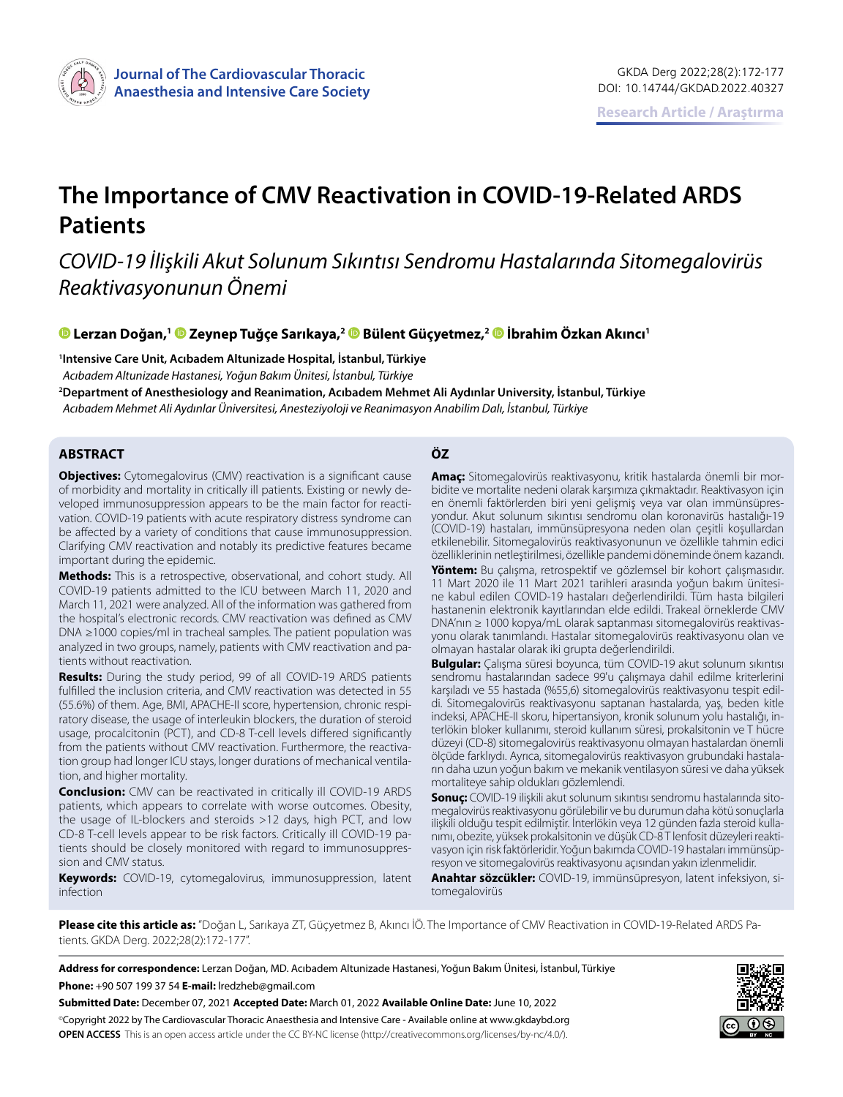

# **The Importance of CMV Reactivation in COVID-19-Related ARDS Patients**

## *COVID-19 İlişkili Akut Solunum Sıkıntısı Sendromu Hastalarında Sitomegalovirüs Reaktivasyonunun Önemi*

**Lerzan Doğan,[1 Z](https://orcid.org/0000-0002-1352-7667)eynep Tuğçe Sarıkaya,2Bülent Güçyetmez,2İbrahim Özkan Akıncı1**

**1 Intensive Care Unit, Acıbadem Altunizade Hospital, İstanbul, Türkiye**

*Acıbadem Altunizade Hastanesi, Yoğun Bakım Ünitesi, İstanbul, Türkiye*

**2 Department of Anesthesiology and Reanimation, Acıbadem Mehmet Ali Aydınlar University, İstanbul, Türkiye** *Acıbadem Mehmet Ali Aydınlar Üniversitesi, Anesteziyoloji ve Reanimasyon Anabilim Dalı, İstanbul, Türkiye*

#### **ABSTRACT ÖZ**

**Objectives:** Cytomegalovirus (CMV) reactivation is a significant cause of morbidity and mortality in critically ill patients. Existing or newly developed immunosuppression appears to be the main factor for reactivation. COVID-19 patients with acute respiratory distress syndrome can be affected by a variety of conditions that cause immunosuppression. Clarifying CMV reactivation and notably its predictive features became important during the epidemic.

**Methods:** This is a retrospective, observational, and cohort study. All COVID-19 patients admitted to the ICU between March 11, 2020 and March 11, 2021 were analyzed. All of the information was gathered from the hospital's electronic records. CMV reactivation was defined as CMV DNA ≥1000 copies/ml in tracheal samples. The patient population was analyzed in two groups, namely, patients with CMV reactivation and patients without reactivation.

**Results:** During the study period, 99 of all COVID-19 ARDS patients fulfilled the inclusion criteria, and CMV reactivation was detected in 55 (55.6%) of them. Age, BMI, APACHE-II score, hypertension, chronic respiratory disease, the usage of interleukin blockers, the duration of steroid usage, procalcitonin (PCT), and CD-8 T-cell levels differed significantly from the patients without CMV reactivation. Furthermore, the reactivation group had longer ICU stays, longer durations of mechanical ventilation, and higher mortality.

**Conclusion:** CMV can be reactivated in critically ill COVID-19 ARDS patients, which appears to correlate with worse outcomes. Obesity, the usage of IL-blockers and steroids >12 days, high PCT, and low CD-8 T-cell levels appear to be risk factors. Critically ill COVID-19 patients should be closely monitored with regard to immunosuppression and CMV status.

**Keywords:** COVID-19, cytomegalovirus, immunosuppression, latent infection

**Amaç:** Sitomegalovirüs reaktivasyonu, kritik hastalarda önemli bir morbidite ve mortalite nedeni olarak karşımıza çıkmaktadır. Reaktivasyon için en önemli faktörlerden biri yeni gelişmiş veya var olan immünsüpresyondur. Akut solunum sıkıntısı sendromu olan koronavirüs hastalığı-19 (COVID-19) hastaları, immünsüpresyona neden olan çeşitli koşullardan etkilenebilir. Sitomegalovirüs reaktivasyonunun ve özellikle tahmin edici özelliklerinin netleştirilmesi, özellikle pandemi döneminde önem kazandı.

**Yöntem:** Bu çalışma, retrospektif ve gözlemsel bir kohort çalışmasıdır. 11 Mart 2020 ile 11 Mart 2021 tarihleri arasında yoğun bakım ünitesine kabul edilen COVID-19 hastaları değerlendirildi. Tüm hasta bilgileri hastanenin elektronik kayıtlarından elde edildi. Trakeal örneklerde CMV DNA'nın ≥ 1000 kopya/mL olarak saptanması sitomegalovirüs reaktivasyonu olarak tanımlandı. Hastalar sitomegalovirüs reaktivasyonu olan ve olmayan hastalar olarak iki grupta değerlendirildi.

**Bulgular:** Çalışma süresi boyunca, tüm COVID-19 akut solunum sıkıntısı sendromu hastalarından sadece 99'u çalışmaya dahil edilme kriterlerini karşıladı ve 55 hastada (%55,6) sitomegalovirüs reaktivasyonu tespit edildi. Sitomegalovirüs reaktivasyonu saptanan hastalarda, yaş, beden kitle indeksi, APACHE-II skoru, hipertansiyon, kronik solunum yolu hastalığı, interlökin bloker kullanımı, steroid kullanım süresi, prokalsitonin ve T hücre düzeyi (CD-8) sitomegalovirüs reaktivasyonu olmayan hastalardan önemli ölçüde farklıydı. Ayrıca, sitomegalovirüs reaktivasyon grubundaki hastaların daha uzun yoğun bakım ve mekanik ventilasyon süresi ve daha yüksek mortaliteye sahip oldukları gözlemlendi.

**Sonuç:** COVID-19 ilişkili akut solunum sıkıntısı sendromu hastalarında sitomegalovirüs reaktivasyonu görülebilir ve bu durumun daha kötü sonuçlarla ilişkili olduğu tespit edilmiştir. İnterlökin veya 12 günden fazla steroid kullanımı, obezite, yüksek prokalsitonin ve düşük CD-8 T lenfosit düzeyleri reaktivasyon için risk faktörleridir. Yoğun bakımda COVID-19 hastaları immünsüpresyon ve sitomegalovirüs reaktivasyonu açısından yakın izlenmelidir.

**Anahtar sözcükler:** COVID-19, immünsüpresyon, latent infeksiyon, sitomegalovirüs

**Please cite this article as:** "Doğan L, Sarıkaya ZT, Güçyetmez B, Akıncı İÖ. The Importance of CMV Reactivation in COVID-19-Related ARDS Patients. GKDA Derg. 2022;28(2):172-177".

**Address for correspondence:** Lerzan Doğan, MD. Acıbadem Altunizade Hastanesi, Yoğun Bakım Ünitesi, İstanbul, Türkiye **Phone:** +90 507 199 37 54 **E-mail:** lredzheb@gmail.com

**Submitted Date:** December 07, 2021 **Accepted Date:** March 01, 2022 **Available Online Date:** June 10, 2022 ©Copyright 2022 by The Cardiovascular Thoracic Anaesthesia and Intensive Care - Available online at www.gkdaybd.org **OPEN ACCESS** This is an open access article under the CC BY-NC license (http://creativecommons.org/licenses/by-nc/4.0/).

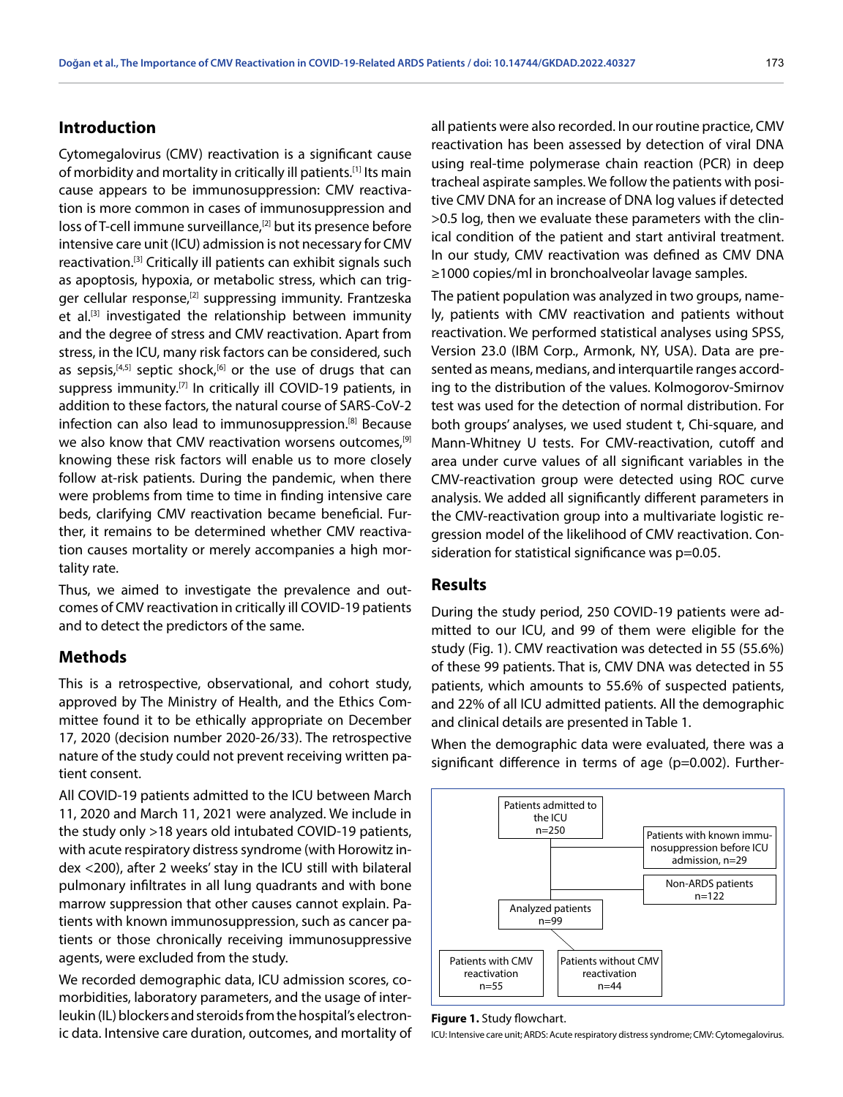### **Introduction**

Cytomegalovirus (CMV) reactivation is a significant cause of morbidity and mortality in critically ill patients.[1] Its main cause appears to be immunosuppression: CMV reactivation is more common in cases of immunosuppression and loss of T-cell immune surveillance,<sup>[2]</sup> but its presence before intensive care unit (ICU) admission is not necessary for CMV reactivation.[3] Critically ill patients can exhibit signals such as apoptosis, hypoxia, or metabolic stress, which can trigger cellular response,<sup>[2]</sup> suppressing immunity. Frantzeska et al.<sup>[3]</sup> investigated the relationship between immunity and the degree of stress and CMV reactivation. Apart from stress, in the ICU, many risk factors can be considered, such as sepsis,<sup>[4,5]</sup> septic shock,<sup>[6]</sup> or the use of drugs that can suppress immunity.<sup>[7]</sup> In critically ill COVID-19 patients, in addition to these factors, the natural course of SARS-CoV-2 infection can also lead to immunosuppression.[8] Because we also know that CMV reactivation worsens outcomes,<sup>[9]</sup> knowing these risk factors will enable us to more closely follow at-risk patients. During the pandemic, when there were problems from time to time in finding intensive care beds, clarifying CMV reactivation became beneficial. Further, it remains to be determined whether CMV reactivation causes mortality or merely accompanies a high mortality rate.

Thus, we aimed to investigate the prevalence and outcomes of CMV reactivation in critically ill COVID-19 patients and to detect the predictors of the same.

#### **Methods**

This is a retrospective, observational, and cohort study, approved by The Ministry of Health, and the Ethics Committee found it to be ethically appropriate on December 17, 2020 (decision number 2020-26/33). The retrospective nature of the study could not prevent receiving written patient consent.

All COVID-19 patients admitted to the ICU between March 11, 2020 and March 11, 2021 were analyzed. We include in the study only >18 years old intubated COVID-19 patients, with acute respiratory distress syndrome (with Horowitz index <200), after 2 weeks' stay in the ICU still with bilateral pulmonary infiltrates in all lung quadrants and with bone marrow suppression that other causes cannot explain. Patients with known immunosuppression, such as cancer patients or those chronically receiving immunosuppressive agents, were excluded from the study.

We recorded demographic data, ICU admission scores, comorbidities, laboratory parameters, and the usage of interleukin (IL) blockers and steroids from the hospital's electronic data. Intensive care duration, outcomes, and mortality of

all patients were also recorded. In our routine practice, CMV reactivation has been assessed by detection of viral DNA using real-time polymerase chain reaction (PCR) in deep tracheal aspirate samples. We follow the patients with positive CMV DNA for an increase of DNA log values if detected >0.5 log, then we evaluate these parameters with the clinical condition of the patient and start antiviral treatment. In our study, CMV reactivation was defined as CMV DNA ≥1000 copies/ml in bronchoalveolar lavage samples.

The patient population was analyzed in two groups, namely, patients with CMV reactivation and patients without reactivation. We performed statistical analyses using SPSS, Version 23.0 (IBM Corp., Armonk, NY, USA). Data are presented as means, medians, and interquartile ranges according to the distribution of the values. Kolmogorov-Smirnov test was used for the detection of normal distribution. For both groups' analyses, we used student t, Chi-square, and Mann-Whitney U tests. For CMV-reactivation, cutoff and area under curve values of all significant variables in the CMV-reactivation group were detected using ROC curve analysis. We added all significantly different parameters in the CMV-reactivation group into a multivariate logistic regression model of the likelihood of CMV reactivation. Consideration for statistical significance was p=0.05.

#### **Results**

During the study period, 250 COVID-19 patients were admitted to our ICU, and 99 of them were eligible for the study (Fig. 1). CMV reactivation was detected in 55 (55.6%) of these 99 patients. That is, CMV DNA was detected in 55 patients, which amounts to 55.6% of suspected patients, and 22% of all ICU admitted patients. All the demographic and clinical details are presented in Table 1.

When the demographic data were evaluated, there was a significant difference in terms of age (p=0.002). Further-



#### **Figure 1.** Study flowchart.

ICU: Intensive care unit; ARDS: Acute respiratory distress syndrome; CMV: Cytomegalovirus.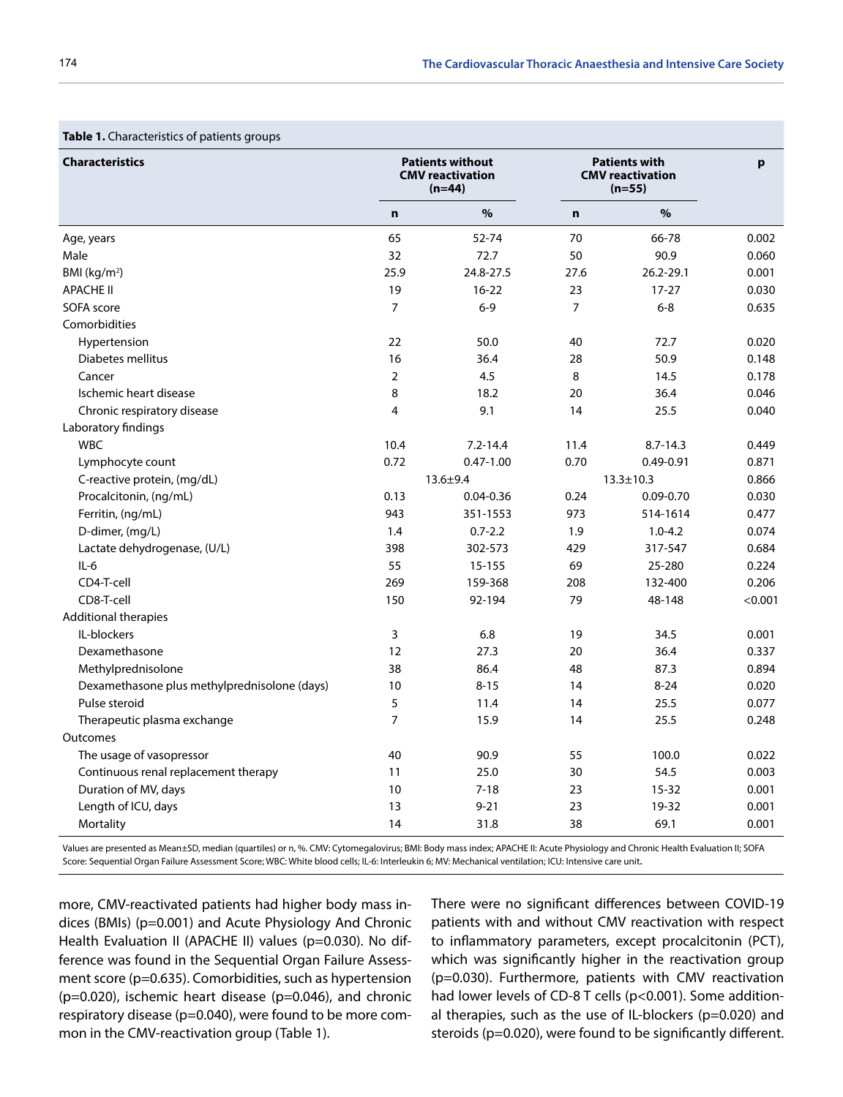| <b>Table 1.</b> Characteristics of patients groups<br><b>Characteristics</b> | <b>Patients without</b><br><b>CMV</b> reactivation<br>$(n=44)$ |               | <b>Patients with</b><br><b>CMV</b> reactivation<br>$(n=55)$ |                 | p       |
|------------------------------------------------------------------------------|----------------------------------------------------------------|---------------|-------------------------------------------------------------|-----------------|---------|
|                                                                              | $\mathbf n$                                                    | $\%$          | $\mathbf n$                                                 | $\%$            |         |
| Age, years                                                                   | 65                                                             | 52-74         | 70                                                          | 66-78           | 0.002   |
| Male                                                                         | 32                                                             | 72.7          | 50                                                          | 90.9            | 0.060   |
| BMI ( $kg/m2$ )                                                              | 25.9                                                           | 24.8-27.5     | 27.6                                                        | 26.2-29.1       | 0.001   |
| <b>APACHE II</b>                                                             | 19                                                             | $16 - 22$     | 23                                                          | $17 - 27$       | 0.030   |
| SOFA score                                                                   | $\overline{7}$                                                 | $6 - 9$       | $\overline{7}$                                              | $6 - 8$         | 0.635   |
| Comorbidities                                                                |                                                                |               |                                                             |                 |         |
| Hypertension                                                                 | 22                                                             | 50.0          | 40                                                          | 72.7            | 0.020   |
| Diabetes mellitus                                                            | 16                                                             | 36.4          | 28                                                          | 50.9            | 0.148   |
| Cancer                                                                       | $\overline{2}$                                                 | 4.5           | 8                                                           | 14.5            | 0.178   |
| Ischemic heart disease                                                       | 8                                                              | 18.2          | 20                                                          | 36.4            | 0.046   |
| Chronic respiratory disease                                                  | $\overline{4}$                                                 | 9.1           | 14                                                          | 25.5            | 0.040   |
| Laboratory findings                                                          |                                                                |               |                                                             |                 |         |
| <b>WBC</b>                                                                   | 10.4                                                           | $7.2 - 14.4$  | 11.4                                                        | $8.7 - 14.3$    | 0.449   |
| Lymphocyte count                                                             | 0.72                                                           | $0.47 - 1.00$ | 0.70                                                        | $0.49 - 0.91$   | 0.871   |
| C-reactive protein, (mg/dL)                                                  |                                                                | $13.6 + 9.4$  |                                                             | $13.3 \pm 10.3$ | 0.866   |
| Procalcitonin, (ng/mL)                                                       | 0.13                                                           | $0.04 - 0.36$ | 0.24                                                        | $0.09 - 0.70$   | 0.030   |
| Ferritin, (ng/mL)                                                            | 943                                                            | 351-1553      | 973                                                         | 514-1614        | 0.477   |
| D-dimer, (mg/L)                                                              | 1.4                                                            | $0.7 - 2.2$   | 1.9                                                         | $1.0 - 4.2$     | 0.074   |
| Lactate dehydrogenase, (U/L)                                                 | 398                                                            | 302-573       | 429                                                         | 317-547         | 0.684   |
| $IL-6$                                                                       | 55                                                             | 15-155        | 69                                                          | 25-280          | 0.224   |
| CD4-T-cell                                                                   | 269                                                            | 159-368       | 208                                                         | 132-400         | 0.206   |
| CD8-T-cell                                                                   | 150                                                            | 92-194        | 79                                                          | 48-148          | < 0.001 |
| Additional therapies                                                         |                                                                |               |                                                             |                 |         |
| IL-blockers                                                                  | 3                                                              | 6.8           | 19                                                          | 34.5            | 0.001   |
| Dexamethasone                                                                | 12                                                             | 27.3          | 20                                                          | 36.4            | 0.337   |
| Methylprednisolone                                                           | 38                                                             | 86.4          | 48                                                          | 87.3            | 0.894   |
| Dexamethasone plus methylprednisolone (days)                                 | 10                                                             | $8 - 15$      | 14                                                          | $8 - 24$        | 0.020   |
| Pulse steroid                                                                | 5                                                              | 11.4          | 14                                                          | 25.5            | 0.077   |
| Therapeutic plasma exchange                                                  | $\overline{7}$                                                 | 15.9          | 14                                                          | 25.5            | 0.248   |
| Outcomes                                                                     |                                                                |               |                                                             |                 |         |
| The usage of vasopressor                                                     | 40                                                             | 90.9          | 55                                                          | 100.0           | 0.022   |
| Continuous renal replacement therapy                                         | 11                                                             | 25.0          | 30                                                          | 54.5            | 0.003   |
| Duration of MV, days                                                         | 10                                                             | $7 - 18$      | 23                                                          | $15 - 32$       | 0.001   |
| Length of ICU, days                                                          | 13                                                             | $9 - 21$      | 23                                                          | 19-32           | 0.001   |
| Mortality                                                                    | 14                                                             | 31.8          | 38                                                          | 69.1            | 0.001   |

**Table 1.** Characteristics of patients groups

Values are presented as Mean±SD, median (quartiles) or n, %. CMV: Cytomegalovirus; BMI: Body mass index; APACHE II: Acute Physiology and Chronic Health Evaluation II; SOFA Score: Sequential Organ Failure Assessment Score; WBC: White blood cells; IL-6: Interleukin 6; MV: Mechanical ventilation; ICU: Intensive care unit.

more, CMV-reactivated patients had higher body mass indices (BMIs) (p=0.001) and Acute Physiology And Chronic Health Evaluation II (APACHE II) values (p=0.030). No difference was found in the Sequential Organ Failure Assessment score (p=0.635). Comorbidities, such as hypertension  $(p=0.020)$ , ischemic heart disease  $(p=0.046)$ , and chronic respiratory disease (p=0.040), were found to be more common in the CMV-reactivation group (Table 1).

There were no significant differences between COVID-19 patients with and without CMV reactivation with respect to inflammatory parameters, except procalcitonin (PCT), which was significantly higher in the reactivation group (p=0.030). Furthermore, patients with CMV reactivation had lower levels of CD-8 T cells (p<0.001). Some additional therapies, such as the use of IL-blockers (p=0.020) and steroids (p=0.020), were found to be significantly different.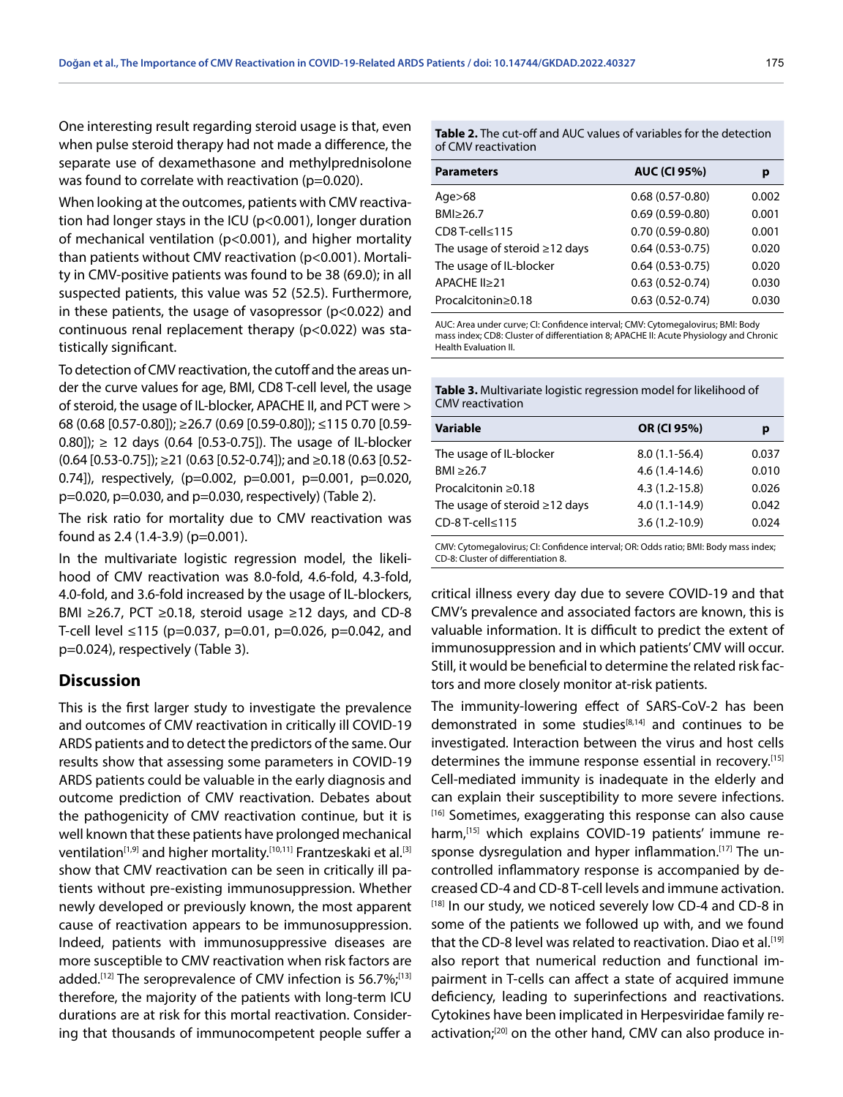One interesting result regarding steroid usage is that, even when pulse steroid therapy had not made a difference, the separate use of dexamethasone and methylprednisolone was found to correlate with reactivation (p=0.020).

When looking at the outcomes, patients with CMV reactivation had longer stays in the ICU (p<0.001), longer duration of mechanical ventilation (p<0.001), and higher mortality than patients without CMV reactivation (p<0.001). Mortality in CMV-positive patients was found to be 38 (69.0); in all suspected patients, this value was 52 (52.5). Furthermore, in these patients, the usage of vasopressor (p<0.022) and continuous renal replacement therapy (p<0.022) was statistically significant.

To detection of CMV reactivation, the cutoff and the areas under the curve values for age, BMI, CD8 T-cell level, the usage of steroid, the usage of IL-blocker, APACHE II, and PCT were > 68 (0.68 [0.57-0.80]); ≥26.7 (0.69 [0.59-0.80]); ≤115 0.70 [0.59- 0.80]);  $≥$  12 days (0.64 [0.53-0.75]). The usage of IL-blocker  $(0.64 [0.53-0.75])$ ; ≥21 (0.63 [0.52-0.74]); and ≥0.18 (0.63 [0.52-0.74]), respectively, (p=0.002, p=0.001, p=0.001, p=0.020, p=0.020, p=0.030, and p=0.030, respectively) (Table 2).

The risk ratio for mortality due to CMV reactivation was found as 2.4 (1.4-3.9) (p=0.001).

In the multivariate logistic regression model, the likelihood of CMV reactivation was 8.0-fold, 4.6-fold, 4.3-fold, 4.0-fold, and 3.6-fold increased by the usage of IL-blockers, BMI ≥26.7, PCT ≥0.18, steroid usage ≥12 days, and CD-8 T-cell level ≤115 (p=0.037, p=0.01, p=0.026, p=0.042, and p=0.024), respectively (Table 3).

### **Discussion**

This is the first larger study to investigate the prevalence and outcomes of CMV reactivation in critically ill COVID-19 ARDS patients and to detect the predictors of the same. Our results show that assessing some parameters in COVID-19 ARDS patients could be valuable in the early diagnosis and outcome prediction of CMV reactivation. Debates about the pathogenicity of CMV reactivation continue, but it is well known that these patients have prolonged mechanical ventilation<sup>[1,9]</sup> and higher mortality.<sup>[10,11]</sup> Frantzeskaki et al.<sup>[3]</sup> show that CMV reactivation can be seen in critically ill patients without pre-existing immunosuppression. Whether newly developed or previously known, the most apparent cause of reactivation appears to be immunosuppression. Indeed, patients with immunosuppressive diseases are more susceptible to CMV reactivation when risk factors are added.<sup>[12]</sup> The seroprevalence of CMV infection is 56.7%;<sup>[13]</sup> therefore, the majority of the patients with long-term ICU durations are at risk for this mortal reactivation. Considering that thousands of immunocompetent people suffer a **Table 2.** The cut-off and AUC values of variables for the detection of CMV reactivation

| <b>Parameters</b>                   | <b>AUC (CI 95%)</b> | р     |
|-------------------------------------|---------------------|-------|
| Age $>68$                           | $0.68(0.57-0.80)$   | 0.002 |
| BMI≥26.7                            | $0.69(0.59-0.80)$   | 0.001 |
| CD8 T-cell≤115                      | $0.70(0.59-0.80)$   | 0.001 |
| The usage of steroid $\geq$ 12 days | $0.64(0.53-0.75)$   | 0.020 |
| The usage of IL-blocker             | $0.64(0.53-0.75)$   | 0.020 |
| APACHE II≥21                        | $0.63(0.52-0.74)$   | 0.030 |
| Procalcitonin≥0.18                  | $0.63(0.52 - 0.74)$ | 0.030 |
|                                     |                     |       |

AUC: Area under curve; CI: Confidence interval; CMV: Cytomegalovirus; BMI: Body mass index; CD8: Cluster of differentiation 8; APACHE II: Acute Physiology and Chronic Health Evaluation II.

| <b>Table 3.</b> Multivariate logistic regression model for likelihood of |  |
|--------------------------------------------------------------------------|--|
| CMV reactivation                                                         |  |

| <b>Variable</b>                     | OR (CI 95%)       | р     |
|-------------------------------------|-------------------|-------|
| The usage of IL-blocker             | $8.0(1.1-56.4)$   | 0.037 |
| BMI $\geq$ 26.7                     | $4.6(1.4-14.6)$   | 0.010 |
| Procalcitonin ≥0.18                 | $4.3(1.2 - 15.8)$ | 0.026 |
| The usage of steroid $\geq$ 12 days | $4.0(1.1-14.9)$   | 0.042 |
| $CD-8T-cell \le 115$                | $3.6(1.2-10.9)$   | 0.024 |
|                                     |                   |       |

CMV: Cytomegalovirus; CI: Confidence interval; OR: Odds ratio; BMI: Body mass index; CD-8: Cluster of differentiation 8.

critical illness every day due to severe COVID-19 and that CMV's prevalence and associated factors are known, this is valuable information. It is difficult to predict the extent of immunosuppression and in which patients' CMV will occur. Still, it would be beneficial to determine the related risk factors and more closely monitor at-risk patients.

The immunity-lowering effect of SARS-CoV-2 has been demonstrated in some studies<sup>[8,14]</sup> and continues to be investigated. Interaction between the virus and host cells determines the immune response essential in recovery.[15] Cell-mediated immunity is inadequate in the elderly and can explain their susceptibility to more severe infections. [16] Sometimes, exaggerating this response can also cause harm,<sup>[15]</sup> which explains COVID-19 patients' immune response dysregulation and hyper inflammation.<sup>[17]</sup> The uncontrolled inflammatory response is accompanied by decreased CD-4 and CD-8 T-cell levels and immune activation.  $^{[18]}$  In our study, we noticed severely low CD-4 and CD-8 in some of the patients we followed up with, and we found that the CD-8 level was related to reactivation. Diao et al.<sup>[19]</sup> also report that numerical reduction and functional impairment in T-cells can affect a state of acquired immune deficiency, leading to superinfections and reactivations. Cytokines have been implicated in Herpesviridae family reactivation;<sup>[20]</sup> on the other hand, CMV can also produce in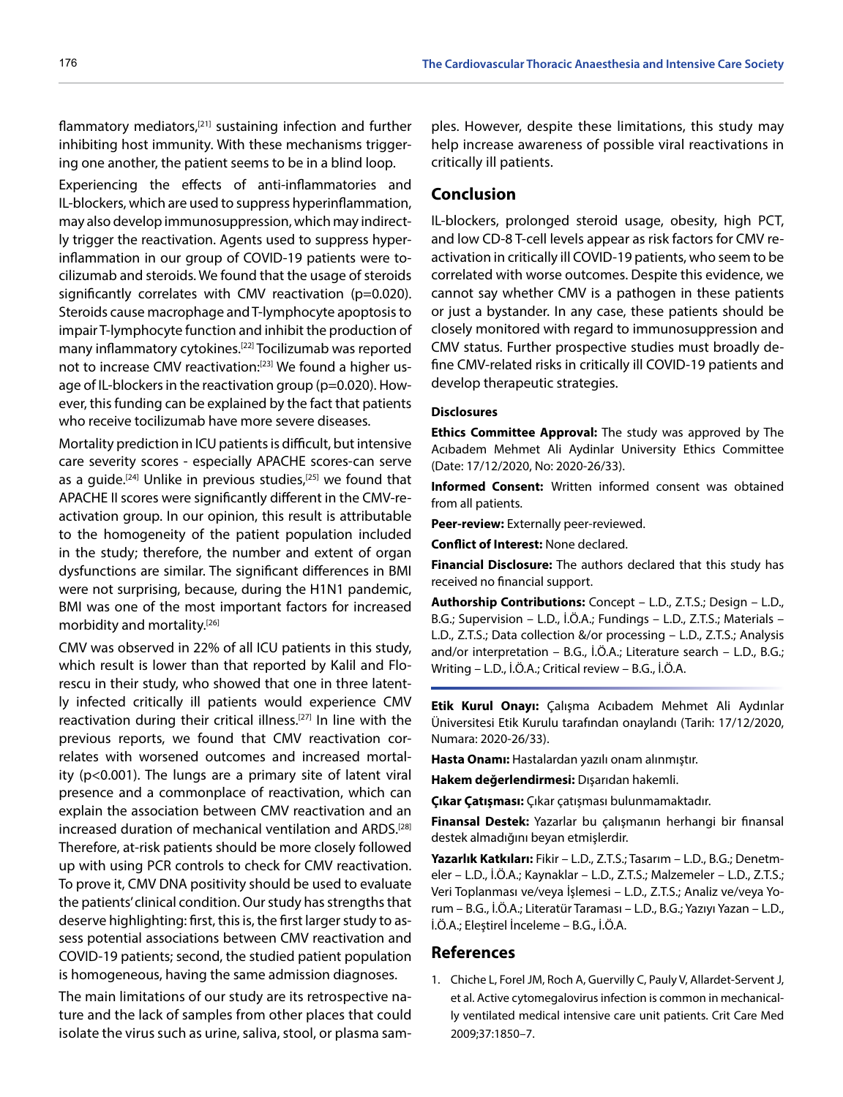flammatory mediators, $[21]$  sustaining infection and further inhibiting host immunity. With these mechanisms triggering one another, the patient seems to be in a blind loop.

Experiencing the effects of anti-inflammatories and IL-blockers, which are used to suppress hyperinflammation, may also develop immunosuppression, which may indirectly trigger the reactivation. Agents used to suppress hyperinflammation in our group of COVID-19 patients were tocilizumab and steroids. We found that the usage of steroids significantly correlates with CMV reactivation (p=0.020). Steroids cause macrophage and T-lymphocyte apoptosis to impair T-lymphocyte function and inhibit the production of many inflammatory cytokines.[22] Tocilizumab was reported not to increase CMV reactivation:<sup>[23]</sup> We found a higher usage of IL-blockers in the reactivation group (p=0.020). However, this funding can be explained by the fact that patients who receive tocilizumab have more severe diseases.

Mortality prediction in ICU patients is difficult, but intensive care severity scores - especially APACHE scores-can serve as a guide.<sup>[24]</sup> Unlike in previous studies,<sup>[25]</sup> we found that APACHE II scores were significantly different in the CMV-reactivation group. In our opinion, this result is attributable to the homogeneity of the patient population included in the study; therefore, the number and extent of organ dysfunctions are similar. The significant differences in BMI were not surprising, because, during the H1N1 pandemic, BMI was one of the most important factors for increased morbidity and mortality.[26]

CMV was observed in 22% of all ICU patients in this study, which result is lower than that reported by Kalil and Florescu in their study, who showed that one in three latently infected critically ill patients would experience CMV reactivation during their critical illness.[27] In line with the previous reports, we found that CMV reactivation correlates with worsened outcomes and increased mortality (p<0.001). The lungs are a primary site of latent viral presence and a commonplace of reactivation, which can explain the association between CMV reactivation and an increased duration of mechanical ventilation and ARDS.[28] Therefore, at-risk patients should be more closely followed up with using PCR controls to check for CMV reactivation. To prove it, CMV DNA positivity should be used to evaluate the patients' clinical condition. Our study has strengths that deserve highlighting: first, this is, the first larger study to assess potential associations between CMV reactivation and COVID-19 patients; second, the studied patient population is homogeneous, having the same admission diagnoses.

The main limitations of our study are its retrospective nature and the lack of samples from other places that could isolate the virus such as urine, saliva, stool, or plasma sam-

ples. However, despite these limitations, this study may help increase awareness of possible viral reactivations in critically ill patients.

## **Conclusion**

IL-blockers, prolonged steroid usage, obesity, high PCT, and low CD-8 T-cell levels appear as risk factors for CMV reactivation in critically ill COVID-19 patients, who seem to be correlated with worse outcomes. Despite this evidence, we cannot say whether CMV is a pathogen in these patients or just a bystander. In any case, these patients should be closely monitored with regard to immunosuppression and CMV status. Further prospective studies must broadly define CMV-related risks in critically ill COVID-19 patients and develop therapeutic strategies.

#### **Disclosures**

**Ethics Committee Approval:** The study was approved by The Acıbadem Mehmet Ali Aydinlar University Ethics Committee (Date: 17/12/2020, No: 2020-26/33).

**Informed Consent:** Written informed consent was obtained from all patients.

**Peer-review:** Externally peer-reviewed.

**Conflict of Interest:** None declared.

**Financial Disclosure:** The authors declared that this study has received no financial support.

**Authorship Contributions:** Concept – L.D., Z.T.S.; Design – L.D., B.G.; Supervision – L.D., İ.Ö.A.; Fundings – L.D., Z.T.S.; Materials – L.D., Z.T.S.; Data collection &/or processing – L.D., Z.T.S.; Analysis and/or interpretation – B.G., İ.Ö.A.; Literature search – L.D., B.G.; Writing – L.D., İ.Ö.A.; Critical review – B.G., İ.Ö.A.

**Etik Kurul Onayı:** Çalışma Acıbadem Mehmet Ali Aydınlar Üniversitesi Etik Kurulu tarafından onaylandı (Tarih: 17/12/2020, Numara: 2020-26/33).

**Hasta Onamı:** Hastalardan yazılı onam alınmıştır.

**Hakem değerlendirmesi:** Dışarıdan hakemli.

**Çıkar Çatışması:** Çıkar çatışması bulunmamaktadır.

**Finansal Destek:** Yazarlar bu çalışmanın herhangi bir finansal destek almadığını beyan etmişlerdir.

**Yazarlık Katkıları:** Fikir – L.D., Z.T.S.; Tasarım – L.D., B.G.; Denetmeler – L.D., İ.Ö.A.; Kaynaklar – L.D., Z.T.S.; Malzemeler – L.D., Z.T.S.; Veri Toplanması ve/veya İşlemesi – L.D., Z.T.S.; Analiz ve/veya Yorum – B.G., İ.Ö.A.; Literatür Taraması – L.D., B.G.; Yazıyı Yazan – L.D., İ.Ö.A.; Eleştirel İnceleme – B.G., İ.Ö.A.

#### **References**

1. Chiche L, Forel JM, Roch A, Guervilly C, Pauly V, Allardet-Servent J, et al. Active cytomegalovirus infection is common in mechanically ventilated medical intensive care unit patients. Crit Care Med 2009;37:1850–7.